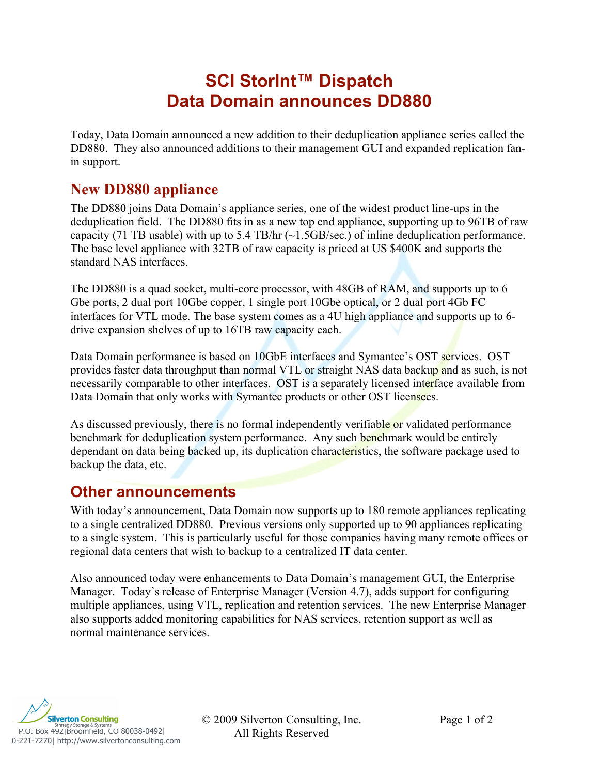## **SCI StorInt™ Dispatch Data Domain announces DD880**

Today, Data Domain announced a new addition to their deduplication appliance series called the DD880. They also announced additions to their management GUI and expanded replication fanin support.

## **New DD880 appliance**

The DD880 joins Data Domain's appliance series, one of the widest product line-ups in the deduplication field. The DD880 fits in as a new top end appliance, supporting up to 96TB of raw capacity (71 TB usable) with up to 5.4 TB/hr  $(\sim 1.5GB/sec.)$  of inline deduplication performance. The base level appliance with 32TB of raw capacity is priced at US \$400K and supports the standard NAS interfaces.

The DD880 is a quad socket, multi-core processor, with 48GB of RAM, and supports up to 6 Gbe ports, 2 dual port 10Gbe copper, 1 single port 10Gbe optical, or 2 dual port 4Gb FC interfaces for VTL mode. The base system comes as a 4U high appliance and supports up to 6 drive expansion shelves of up to 16TB raw capacity each.

Data Domain performance is based on 10GbE interfaces and Symantec's OST services. OST provides faster data throughput than normal VTL or straight NAS data backup and as such, is not necessarily comparable to other interfaces. OST is a separately licensed interface available from Data Domain that only works with Symantec products or other OST licensees.

As discussed previously, there is no formal independently verifiable or validated performance benchmark for deduplication system performance. Any such benchmark would be entirely dependant on data being backed up, its duplication characteristics, the software package used to backup the data, etc.

## **Other announcements**

With today's announcement, Data Domain now supports up to 180 remote appliances replicating to a single centralized DD880. Previous versions only supported up to 90 appliances replicating to a single system. This is particularly useful for those companies having many remote offices or regional data centers that wish to backup to a centralized IT data center.

Also announced today were enhancements to Data Domain's management GUI, the Enterprise Manager. Today's release of Enterprise Manager (Version 4.7), adds support for configuring multiple appliances, using VTL, replication and retention services. The new Enterprise Manager also supports added monitoring capabilities for NAS services, retention support as well as normal maintenance services.



© 2009 Silverton Consulting, Inc. Page 1 of 2